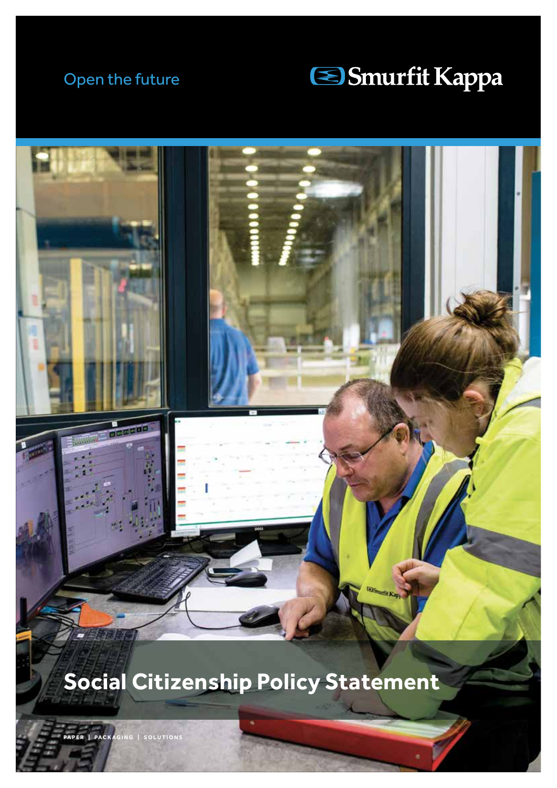### Open the future





# **Social Citizenship Policy Statement**

**PARE | SOLUTIONS**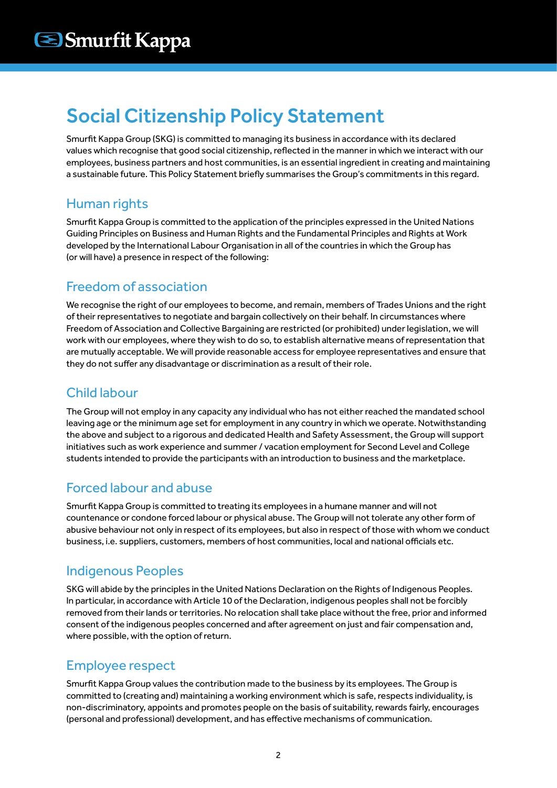## Social Citizenship Policy Statement

Smurfit Kappa Group (SKG) is committed to managing its business in accordance with its declared values which recognise that good social citizenship, reflected in the manner in which we interact with our employees, business partners and host communities, is an essential ingredient in creating and maintaining a sustainable future. This Policy Statement briefly summarises the Group's commitments in this regard.

#### Human rights

Smurfit Kappa Group is committed to the application of the principles expressed in the United Nations Guiding Principles on Business and Human Rights and the Fundamental Principles and Rights at Work developed by the International Labour Organisation in all of the countries in which the Group has (or will have) a presence in respect of the following:

### Freedom of association

We recognise the right of our employees to become, and remain, members of Trades Unions and the right of their representatives to negotiate and bargain collectively on their behalf. In circumstances where Freedom of Association and Collective Bargaining are restricted (or prohibited) under legislation, we will work with our employees, where they wish to do so, to establish alternative means of representation that are mutually acceptable. We will provide reasonable access for employee representatives and ensure that they do not suffer any disadvantage or discrimination as a result of their role.

#### Child labour

The Group will not employ in any capacity any individual who has not either reached the mandated school leaving age or the minimum age set for employment in any country in which we operate. Notwithstanding the above and subject to a rigorous and dedicated Health and Safety Assessment, the Group will support initiatives such as work experience and summer / vacation employment for Second Level and College students intended to provide the participants with an introduction to business and the marketplace.

#### Forced labour and abuse

Smurfit Kappa Group is committed to treating its employees in a humane manner and will not countenance or condone forced labour or physical abuse. The Group will not tolerate any other form of abusive behaviour not only in respect of its employees, but also in respect of those with whom we conduct business, i.e. suppliers, customers, members of host communities, local and national officials etc.

#### Indigenous Peoples

SKG will abide by the principles in the United Nations Declaration on the Rights of Indigenous Peoples. In particular, in accordance with Article 10 of the Declaration, indigenous peoples shall not be forcibly removed from their lands or territories. No relocation shall take place without the free, prior and informed consent of the indigenous peoples concerned and after agreement on just and fair compensation and, where possible, with the option of return.

#### Employee respect

Smurfit Kappa Group values the contribution made to the business by its employees. The Group is committed to (creating and) maintaining a working environment which is safe, respects individuality, is non-discriminatory, appoints and promotes people on the basis of suitability, rewards fairly, encourages (personal and professional) development, and has effective mechanisms of communication.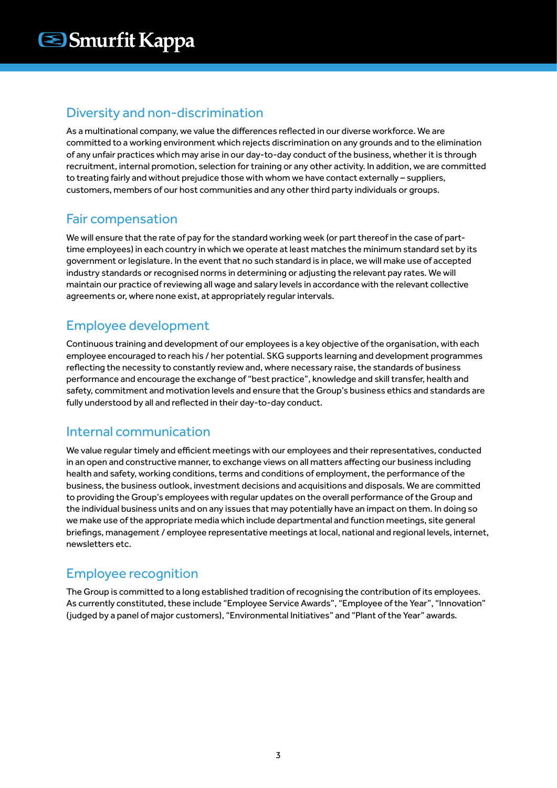#### Diversity and non-discrimination

As a multinational company, we value the differences reflected in our diverse workforce. We are committed to a working environment which rejects discrimination on any grounds and to the elimination of any unfair practices which may arise in our day-to-day conduct of the business, whether it is through recruitment, internal promotion, selection for training or any other activity. In addition, we are committed to treating fairly and without prejudice those with whom we have contact externally – suppliers, customers, members of our host communities and any other third party individuals or groups.

#### Fair compensation

We will ensure that the rate of pay for the standard working week (or part thereof in the case of parttime employees) in each country in which we operate at least matches the minimum standard set by its government or legislature. In the event that no such standard is in place, we will make use of accepted industry standards or recognised norms in determining or adjusting the relevant pay rates. We will maintain our practice of reviewing all wage and salary levels in accordance with the relevant collective agreements or, where none exist, at appropriately regular intervals.

#### Employee development

Continuous training and development of our employees is a key objective of the organisation, with each employee encouraged to reach his / her potential. SKG supports learning and development programmes reflecting the necessity to constantly review and, where necessary raise, the standards of business performance and encourage the exchange of "best practice", knowledge and skill transfer, health and safety, commitment and motivation levels and ensure that the Group's business ethics and standards are fully understood by all and reflected in their day-to-day conduct.

#### Internal communication

We value regular timely and efficient meetings with our employees and their representatives, conducted in an open and constructive manner, to exchange views on all matters affecting our business including health and safety, working conditions, terms and conditions of employment, the performance of the business, the business outlook, investment decisions and acquisitions and disposals. We are committed to providing the Group's employees with regular updates on the overall performance of the Group and the individual business units and on any issues that may potentially have an impact on them. In doing so we make use of the appropriate media which include departmental and function meetings, site general briefings, management / employee representative meetings at local, national and regional levels, internet, newsletters etc.

#### Employee recognition

The Group is committed to a long established tradition of recognising the contribution of its employees. As currently constituted, these include "Employee Service Awards", "Employee of the Year", "Innovation" (judged by a panel of major customers), "Environmental Initiatives" and "Plant of the Year" awards.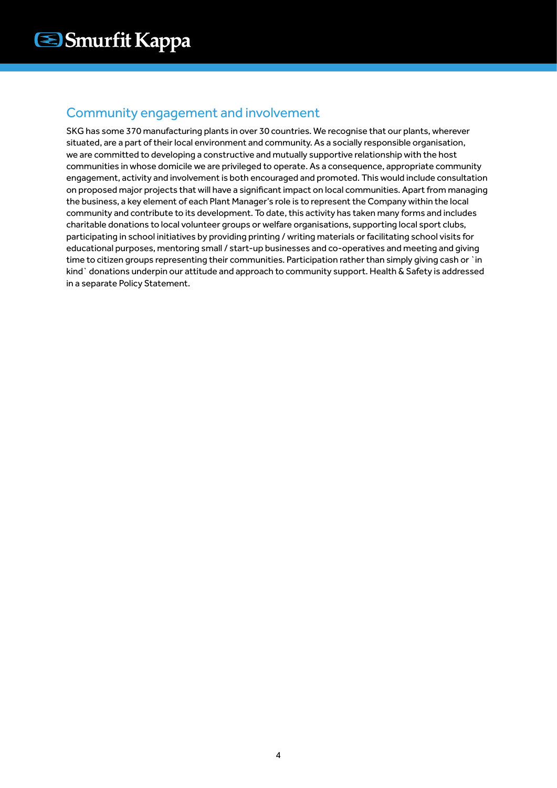#### Community engagement and involvement

SKG has some 370 manufacturing plants in over 30 countries. We recognise that our plants, wherever situated, are a part of their local environment and community. As a socially responsible organisation, we are committed to developing a constructive and mutually supportive relationship with the host communities in whose domicile we are privileged to operate. As a consequence, appropriate community engagement, activity and involvement is both encouraged and promoted. This would include consultation on proposed major projects that will have a significant impact on local communities. Apart from managing the business, a key element of each Plant Manager's role is to represent the Company within the local community and contribute to its development. To date, this activity has taken many forms and includes charitable donations to local volunteer groups or welfare organisations, supporting local sport clubs, participating in school initiatives by providing printing / writing materials or facilitating school visits for educational purposes, mentoring small / start-up businesses and co-operatives and meeting and giving time to citizen groups representing their communities. Participation rather than simply giving cash or `in kind` donations underpin our attitude and approach to community support. Health & Safety is addressed in a separate Policy Statement.